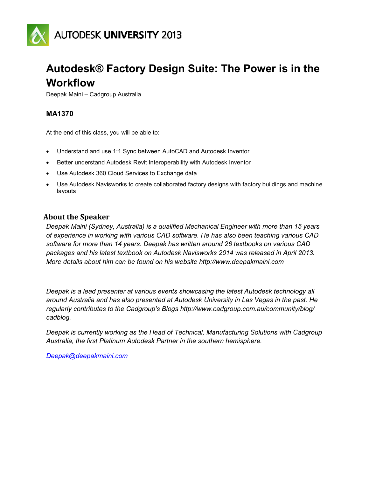

## **Autodesk® Factory Design Suite: The Power is in the Workflow**

Deepak Maini – Cadgroup Australia

## **MA1370**

At the end of this class, you will be able to:

- Understand and use 1:1 Sync between AutoCAD and Autodesk Inventor
- Better understand Autodesk Revit Interoperability with Autodesk Inventor
- Use Autodesk 360 Cloud Services to Exchange data
- Use Autodesk Navisworks to create collaborated factory designs with factory buildings and machine layouts

## **About the Speaker**

*Deepak Maini (Sydney, Australia) is a qualified Mechanical Engineer with more than 15 years of experience in working with various CAD software. He has also been teaching various CAD software for more than 14 years. Deepak has written around 26 textbooks on various CAD packages and his latest textbook on Autodesk Navisworks 2014 was released in April 2013. More details about him can be found on his website http://www.deepakmaini.com*

*Deepak is a lead presenter at various events showcasing the latest Autodesk technology all around Australia and has also presented at Autodesk University in Las Vegas in the past. He regularly contributes to the Cadgroup's Blogs http://www.cadgroup.com.au/community/blog/ cadblog.*

*Deepak is currently working as the Head of Technical, Manufacturing Solutions with Cadgroup Australia, the first Platinum Autodesk Partner in the southern hemisphere.*

*[Deepak@deepakmaini.com](mailto:Deepak@deepakmaini.com)*